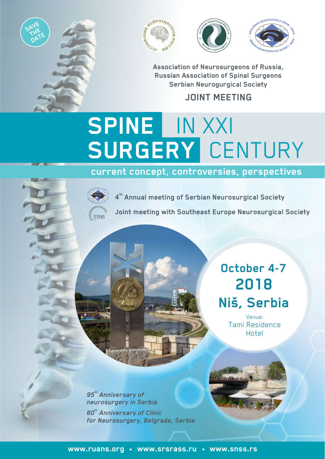







**Association of Neurosurgeons of Russia, Russian Association of Spinal Surgeons Serbian Neurogurgical Society** 

## **JOINT MEETING**

## **SPINE**  IN XXI **SURGERY**  CENTURY

**current concept, controversies, perspectives**



**th 4 Annual meeting of Serbian Neurosurgical Society**

**Joint meeting with Southeast Europe Neurosurgical Society**

## **October 4-7 2018 Niš, Serbia**

Venue: Tami Residence Hotel

 $95<sup>th</sup>$  Anniversary of *neurosurgery in Serbia th 80 Anniversary of Clinic for Neurosurgery, Belgrade, Serbia*